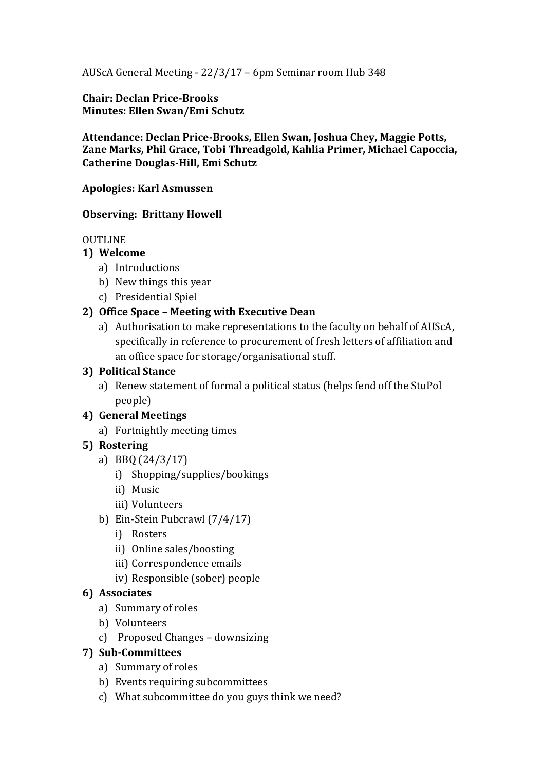AUScA General Meeting - 22/3/17 – 6pm Seminar room Hub 348

**Chair: Declan Price-Brooks Minutes: Ellen Swan/Emi Schutz**

**Attendance: Declan Price-Brooks, Ellen Swan, Joshua Chey, Maggie Potts, Zane Marks, Phil Grace, Tobi Threadgold, Kahlia Primer, Michael Capoccia, Catherine Douglas-Hill, Emi Schutz**

**Apologies: Karl Asmussen**

#### **Observing: Brittany Howell**

#### **OUTLINE**

# **1) Welcome**

- a) Introductions
- b) New things this year
- c) Presidential Spiel

# **2) Office Space – Meeting with Executive Dean**

a) Authorisation to make representations to the faculty on behalf of AUScA, specifically in reference to procurement of fresh letters of affiliation and an office space for storage/organisational stuff.

#### **3) Political Stance**

- a) Renew statement of formal a political status (helps fend off the StuPol people)
- **4) General Meetings**
	- a) Fortnightly meeting times

# **5) Rostering**

- a) BBQ (24/3/17)
	- i) Shopping/supplies/bookings
	- ii) Music
	- iii) Volunteers
- b) Ein-Stein Pubcrawl (7/4/17)
	- i) Rosters
	- ii) Online sales/boosting
	- iii) Correspondence emails
	- iv) Responsible (sober) people

#### **6) Associates**

- a) Summary of roles
- b) Volunteers
- c) Proposed Changes downsizing

# **7) Sub-Committees**

- a) Summary of roles
- b) Events requiring subcommittees
- c) What subcommittee do you guys think we need?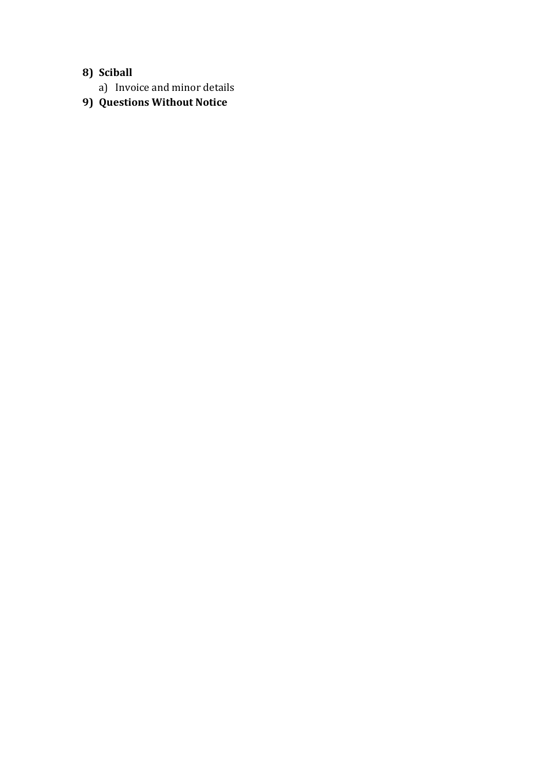# **8) Sciball**

- a) Invoice and minor details
- **9) Questions Without Notice**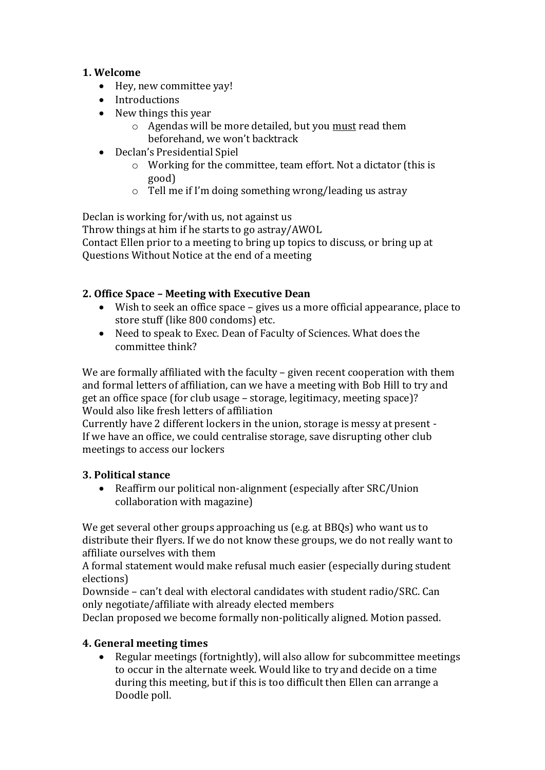# **1. Welcome**

- Hey, new committee yay!
- Introductions
- New things this year
	- o Agendas will be more detailed, but you must read them beforehand, we won't backtrack
- Declan's Presidential Spiel
	- o Working for the committee, team effort. Not a dictator (this is good)
	- o Tell me if I'm doing something wrong/leading us astray

Declan is working for/with us, not against us Throw things at him if he starts to go astray/AWOL Contact Ellen prior to a meeting to bring up topics to discuss, or bring up at Questions Without Notice at the end of a meeting

# **2. Office Space – Meeting with Executive Dean**

- Wish to seek an office space gives us a more official appearance, place to store stuff (like 800 condoms) etc.
- Need to speak to Exec. Dean of Faculty of Sciences. What does the committee think?

We are formally affiliated with the faculty - given recent cooperation with them and formal letters of affiliation, can we have a meeting with Bob Hill to try and get an office space (for club usage – storage, legitimacy, meeting space)? Would also like fresh letters of affiliation

Currently have 2 different lockers in the union, storage is messy at present - If we have an office, we could centralise storage, save disrupting other club meetings to access our lockers

# **3. Political stance**

 Reaffirm our political non-alignment (especially after SRC/Union collaboration with magazine)

We get several other groups approaching us (e.g. at BBQs) who want us to distribute their flyers. If we do not know these groups, we do not really want to affiliate ourselves with them

A formal statement would make refusal much easier (especially during student elections)

Downside – can't deal with electoral candidates with student radio/SRC. Can only negotiate/affiliate with already elected members

Declan proposed we become formally non-politically aligned. Motion passed.

# **4. General meeting times**

 Regular meetings (fortnightly), will also allow for subcommittee meetings to occur in the alternate week. Would like to try and decide on a time during this meeting, but if this is too difficult then Ellen can arrange a Doodle poll.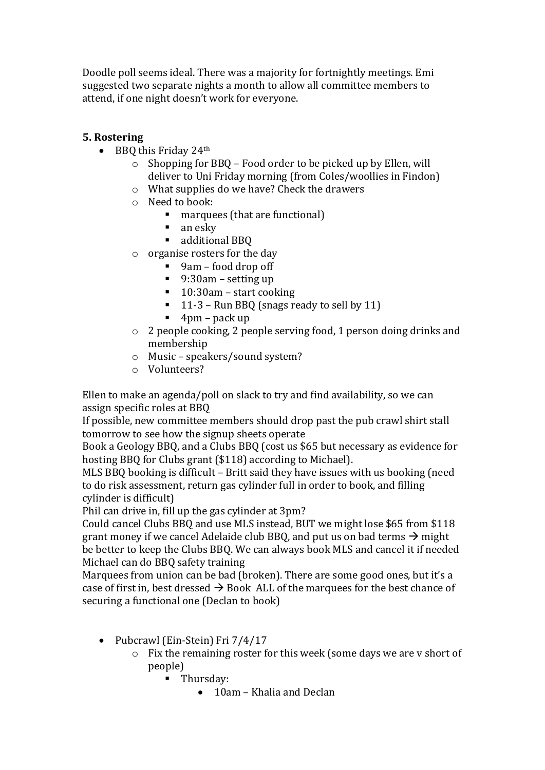Doodle poll seems ideal. There was a majority for fortnightly meetings. Emi suggested two separate nights a month to allow all committee members to attend, if one night doesn't work for everyone.

#### **5. Rostering**

- $\bullet$  BBO this Friday 24<sup>th</sup>
	- o Shopping for BBQ Food order to be picked up by Ellen, will deliver to Uni Friday morning (from Coles/woollies in Findon)
	- o What supplies do we have? Check the drawers
	- o Need to book:
		- marquees (that are functional)
		- $\blacksquare$  an esky
		- additional BBQ
	- o organise rosters for the day
		- 9am food drop off
		- 9:30am setting up
		- 10:30am start cooking
		- $\blacksquare$  11-3 Run BBQ (snags ready to sell by 11)
		- $\blacksquare$  4pm pack up
	- o 2 people cooking, 2 people serving food, 1 person doing drinks and membership
	- o Music speakers/sound system?
	- o Volunteers?

Ellen to make an agenda/poll on slack to try and find availability, so we can assign specific roles at BBQ

If possible, new committee members should drop past the pub crawl shirt stall tomorrow to see how the signup sheets operate

Book a Geology BBQ, and a Clubs BBQ (cost us \$65 but necessary as evidence for hosting BBQ for Clubs grant (\$118) according to Michael).

MLS BBQ booking is difficult – Britt said they have issues with us booking (need to do risk assessment, return gas cylinder full in order to book, and filling cylinder is difficult)

Phil can drive in, fill up the gas cylinder at 3pm?

Could cancel Clubs BBQ and use MLS instead, BUT we might lose \$65 from \$118 grant money if we cancel Adelaide club BBQ, and put us on bad terms  $\rightarrow$  might be better to keep the Clubs BBQ. We can always book MLS and cancel it if needed Michael can do BBQ safety training

Marquees from union can be bad (broken). There are some good ones, but it's a case of first in, best dressed  $\rightarrow$  Book ALL of the marquees for the best chance of securing a functional one (Declan to book)

- Pubcrawl (Ein-Stein) Fri 7/4/17
	- o Fix the remaining roster for this week (some days we are v short of people)
		- **Thursday:** 
			- 10am Khalia and Declan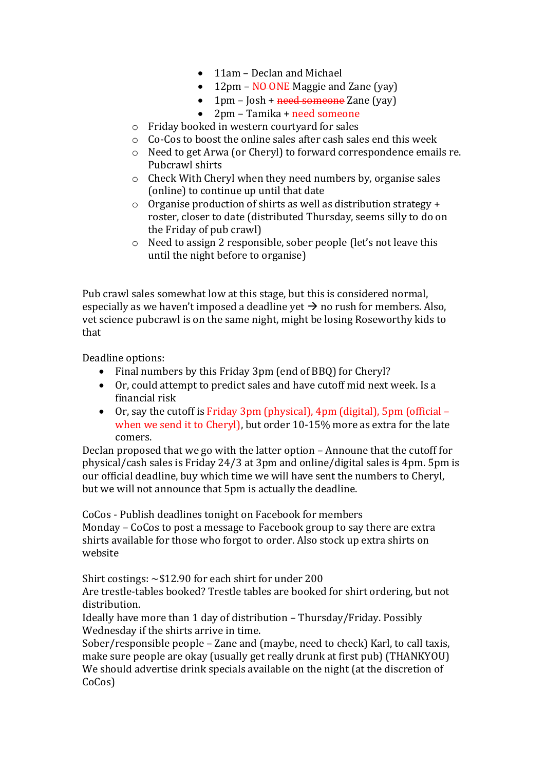- 11am Declan and Michael
- $\bullet$  12pm NO ONE-Maggie and Zane (yay)
- $\bullet$  1pm Josh + need someone Zane (yay)
- 2pm Tamika + need someone
- o Friday booked in western courtyard for sales
- o Co-Cos to boost the online sales after cash sales end this week
- o Need to get Arwa (or Cheryl) to forward correspondence emails re. Pubcrawl shirts
- o Check With Cheryl when they need numbers by, organise sales (online) to continue up until that date
- o Organise production of shirts as well as distribution strategy + roster, closer to date (distributed Thursday, seems silly to do on the Friday of pub crawl)
- o Need to assign 2 responsible, sober people (let's not leave this until the night before to organise)

Pub crawl sales somewhat low at this stage, but this is considered normal, especially as we haven't imposed a deadline yet  $\rightarrow$  no rush for members. Also, vet science pubcrawl is on the same night, might be losing Roseworthy kids to that

Deadline options:

- Final numbers by this Friday 3pm (end of BBQ) for Cheryl?
- Or, could attempt to predict sales and have cutoff mid next week. Is a financial risk
- Or, say the cutoff is Friday 3pm (physical), 4pm (digital), 5pm (official when we send it to Cheryl), but order 10-15% more as extra for the late comers.

Declan proposed that we go with the latter option – Announe that the cutoff for physical/cash sales is Friday 24/3 at 3pm and online/digital sales is 4pm. 5pm is our official deadline, buy which time we will have sent the numbers to Cheryl, but we will not announce that 5pm is actually the deadline.

CoCos - Publish deadlines tonight on Facebook for members

Monday – CoCos to post a message to Facebook group to say there are extra shirts available for those who forgot to order. Also stock up extra shirts on website

Shirt costings:  $\sim$ \$12.90 for each shirt for under 200

Are trestle-tables booked? Trestle tables are booked for shirt ordering, but not distribution.

Ideally have more than 1 day of distribution – Thursday/Friday. Possibly Wednesday if the shirts arrive in time.

Sober/responsible people – Zane and (maybe, need to check) Karl, to call taxis, make sure people are okay (usually get really drunk at first pub) (THANKYOU) We should advertise drink specials available on the night (at the discretion of CoCos)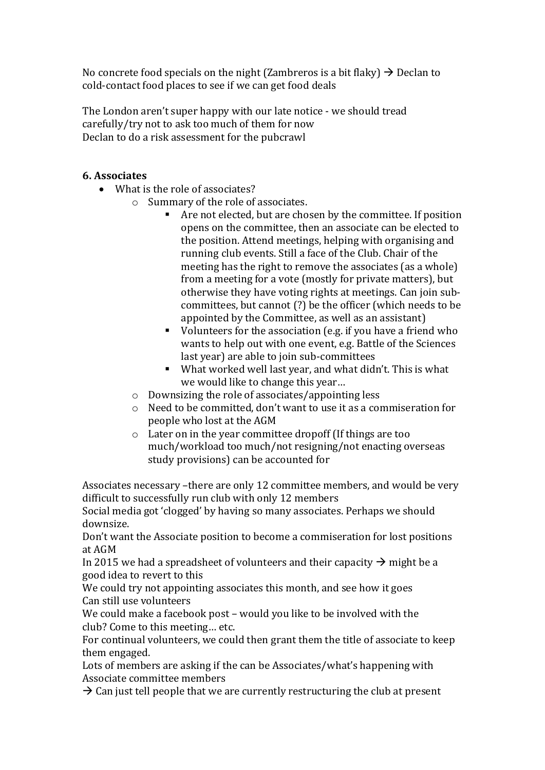No concrete food specials on the night (Zambreros is a bit flaky)  $\rightarrow$  Declan to cold-contact food places to see if we can get food deals

The London aren't super happy with our late notice - we should tread carefully/try not to ask too much of them for now Declan to do a risk assessment for the pubcrawl

# **6. Associates**

- What is the role of associates?
	- o Summary of the role of associates.
		- Are not elected, but are chosen by the committee. If position opens on the committee, then an associate can be elected to the position. Attend meetings, helping with organising and running club events. Still a face of the Club. Chair of the meeting has the right to remove the associates (as a whole) from a meeting for a vote (mostly for private matters), but otherwise they have voting rights at meetings. Can join subcommittees, but cannot (?) be the officer (which needs to be appointed by the Committee, as well as an assistant)
		- Updian Volunteers for the association (e.g. if you have a friend who wants to help out with one event, e.g. Battle of the Sciences last year) are able to join sub-committees
		- What worked well last year, and what didn't. This is what we would like to change this year…
	- o Downsizing the role of associates/appointing less
	- o Need to be committed, don't want to use it as a commiseration for people who lost at the AGM
	- o Later on in the year committee dropoff (If things are too much/workload too much/not resigning/not enacting overseas study provisions) can be accounted for

Associates necessary –there are only 12 committee members, and would be very difficult to successfully run club with only 12 members

Social media got 'clogged' by having so many associates. Perhaps we should downsize.

Don't want the Associate position to become a commiseration for lost positions at AGM

In 2015 we had a spreadsheet of volunteers and their capacity  $\rightarrow$  might be a good idea to revert to this

We could try not appointing associates this month, and see how it goes Can still use volunteers

We could make a facebook post – would you like to be involved with the club? Come to this meeting… etc.

For continual volunteers, we could then grant them the title of associate to keep them engaged.

Lots of members are asking if the can be Associates/what's happening with Associate committee members

 $\rightarrow$  Can just tell people that we are currently restructuring the club at present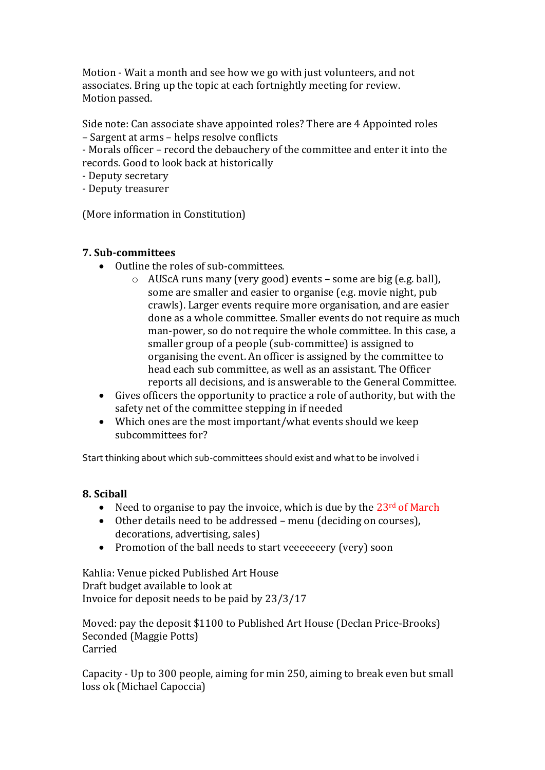Motion - Wait a month and see how we go with just volunteers, and not associates. Bring up the topic at each fortnightly meeting for review. Motion passed.

Side note: Can associate shave appointed roles? There are 4 Appointed roles – Sargent at arms – helps resolve conflicts

- Morals officer – record the debauchery of the committee and enter it into the records. Good to look back at historically

- Deputy secretary
- Deputy treasurer

(More information in Constitution)

#### **7. Sub-committees**

- Outline the roles of sub-committees.
	- o AUScA runs many (very good) events some are big (e.g. ball), some are smaller and easier to organise (e.g. movie night, pub crawls). Larger events require more organisation, and are easier done as a whole committee. Smaller events do not require as much man-power, so do not require the whole committee. In this case, a smaller group of a people (sub-committee) is assigned to organising the event. An officer is assigned by the committee to head each sub committee, as well as an assistant. The Officer reports all decisions, and is answerable to the General Committee.
- Gives officers the opportunity to practice a role of authority, but with the safety net of the committee stepping in if needed
- Which ones are the most important/what events should we keep subcommittees for?

Start thinking about which sub-committees should exist and what to be involved i

#### **8. Sciball**

- Need to organise to pay the invoice, which is due by the  $23<sup>rd</sup>$  of March
- Other details need to be addressed menu (deciding on courses), decorations, advertising, sales)
- Promotion of the ball needs to start veeeeeeery (very) soon

Kahlia: Venue picked Published Art House Draft budget available to look at Invoice for deposit needs to be paid by 23/3/17

Moved: pay the deposit \$1100 to Published Art House (Declan Price-Brooks) Seconded (Maggie Potts) Carried

Capacity - Up to 300 people, aiming for min 250, aiming to break even but small loss ok (Michael Capoccia)